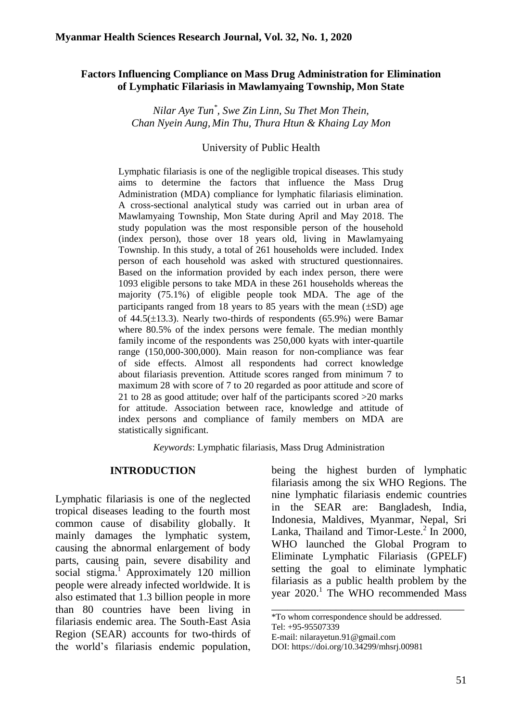## **Factors Influencing Compliance on Mass Drug Administration for Elimination of Lymphatic Filariasis in Mawlamyaing Township, Mon State**

*Nilar Aye Tun\* , Swe Zin Linn, Su Thet Mon Thein, Chan Nyein Aung, Min Thu, Thura Htun & Khaing Lay Mon*

#### University of Public Health

Lymphatic filariasis is one of the negligible tropical diseases. This study aims to determine the factors that influence the Mass Drug Administration (MDA) compliance for lymphatic filariasis elimination. A cross-sectional analytical study was carried out in urban area of Mawlamyaing Township, Mon State during April and May 2018. The study population was the most responsible person of the household (index person), those over 18 years old, living in Mawlamyaing Township. In this study, a total of 261 households were included. Index person of each household was asked with structured questionnaires. Based on the information provided by each index person, there were 1093 eligible persons to take MDA in these 261 households whereas the majority (75.1%) of eligible people took MDA. The age of the participants ranged from 18 years to 85 years with the mean  $(\pm SD)$  age of 44.5( $\pm$ 13.3). Nearly two-thirds of respondents (65.9%) were Bamar where 80.5% of the index persons were female. The median monthly family income of the respondents was 250,000 kyats with inter-quartile range (150,000-300,000). Main reason for non-compliance was fear of side effects. Almost all respondents had correct knowledge about filariasis prevention. Attitude scores ranged from minimum 7 to maximum 28 with score of 7 to 20 regarded as poor attitude and score of 21 to 28 as good attitude; over half of the participants scored >20 marks for attitude. Association between race, knowledge and attitude of index persons and compliance of family members on MDA are statistically significant.

*Keywords*: Lymphatic filariasis, Mass Drug Administration

### **INTRODUCTION**

Lymphatic filariasis is one of the neglected tropical diseases leading to the fourth most common cause of disability globally. It mainly damages the lymphatic system, causing the abnormal enlargement of body parts, causing pain, severe disability and social stigma.<sup>1</sup> Approximately 120 million people were already infected worldwide. It is also estimated that 1.3 billion people in more than 80 countries have been living in filariasis endemic area. The South-East Asia Region (SEAR) accounts for two-thirds of the world's filariasis endemic population,

being the highest burden of lymphatic filariasis among the six WHO Regions. The nine lymphatic filariasis endemic countries in the SEAR are: Bangladesh, India, Indonesia, Maldives, Myanmar, Nepal, Sri Lanka, Thailand and Timor-Leste. $^{2}$  In 2000, WHO launched the Global Program to Eliminate Lymphatic Filariasis (GPELF) setting the goal to eliminate lymphatic filariasis as a public health problem by the year 2020.<sup>1</sup> The WHO recommended Mass

\_\_\_\_\_\_\_\_\_\_\_\_\_\_\_\_\_\_\_\_\_\_\_\_\_\_\_\_\_\_\_\_\_\_\_\_

<sup>\*</sup>To whom correspondence should be addressed.

Tel: +95-95507339

E-mail: nilarayetun.91@gmail.com

DOI: [https://doi.org/10.34299/mhsrj.0098](https://doi.org/10.34299/mhsrj.009)1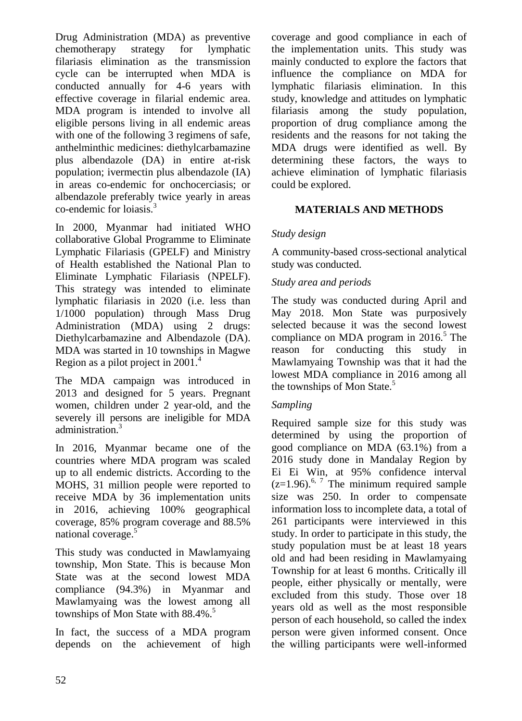Drug Administration (MDA) as preventive chemotherapy strategy for lymphatic filariasis elimination as the transmission cycle can be interrupted when MDA is conducted annually for 4-6 years with effective coverage in filarial endemic area. MDA program is intended to involve all eligible persons living in all endemic areas with one of the following 3 regimens of safe, anthelminthic medicines: diethylcarbamazine plus albendazole (DA) in entire at-risk population; ivermectin plus albendazole (IA) in areas co-endemic for onchocerciasis; or albendazole preferably twice yearly in areas co-endemic for loiasis.<sup>3</sup>

In 2000, Myanmar had initiated WHO collaborative Global Programme to Eliminate Lymphatic Filariasis (GPELF) and Ministry of Health established the National Plan to Eliminate Lymphatic Filariasis (NPELF). This strategy was intended to eliminate lymphatic filariasis in 2020 (i.e. less than 1/1000 population) through Mass Drug Administration (MDA) using 2 drugs: Diethylcarbamazine and Albendazole (DA). MDA was started in 10 townships in Magwe Region as a pilot project in  $2001<sup>4</sup>$ 

The MDA campaign was introduced in 2013 and designed for 5 years. Pregnant women, children under 2 year-old, and the severely ill persons are ineligible for MDA administration. 3

In 2016, Myanmar became one of the countries where MDA program was scaled up to all endemic districts. According to the MOHS, 31 million people were reported to receive MDA by 36 implementation units in 2016, achieving 100% geographical coverage, 85% program coverage and 88.5% national coverage.<sup>5</sup>

This study was conducted in Mawlamyaing township, Mon State. This is because Mon State was at the second lowest MDA compliance (94.3%) in Myanmar and Mawlamyaing was the lowest among all townships of Mon State with  $88.4\%$ .<sup>5</sup>

In fact, the success of a MDA program depends on the achievement of high coverage and good compliance in each of the implementation units. This study was mainly conducted to explore the factors that influence the compliance on MDA for lymphatic filariasis elimination. In this study, knowledge and attitudes on lymphatic filariasis among the study population, proportion of drug compliance among the residents and the reasons for not taking the MDA drugs were identified as well. By determining these factors, the ways to achieve elimination of lymphatic filariasis could be explored.

# **MATERIALS AND METHODS**

## *Study design*

A community-based cross-sectional analytical study was conducted.

## *Study area and periods*

The study was conducted during April and May 2018. Mon State was purposively selected because it was the second lowest compliance on MDA program in  $2016<sup>5</sup>$ . The reason for conducting this study in Mawlamyaing Township was that it had the lowest MDA compliance in 2016 among all the townships of Mon State.<sup>5</sup>

### *Sampling*

Required sample size for this study was determined by using the proportion of good compliance on MDA (63.1%) from a 2016 study done in Mandalay Region by Ei Ei Win, at 95% confidence interval  $(z=1.96)$ <sup>6, 7</sup> The minimum required sample size was 250. In order to compensate information loss to incomplete data, a total of 261 participants were interviewed in this study. In order to participate in this study, the study population must be at least 18 years old and had been residing in Mawlamyaing Township for at least 6 months. Critically ill people, either physically or mentally, were excluded from this study. Those over 18 years old as well as the most responsible person of each household, so called the index person were given informed consent. Once the willing participants were well-informed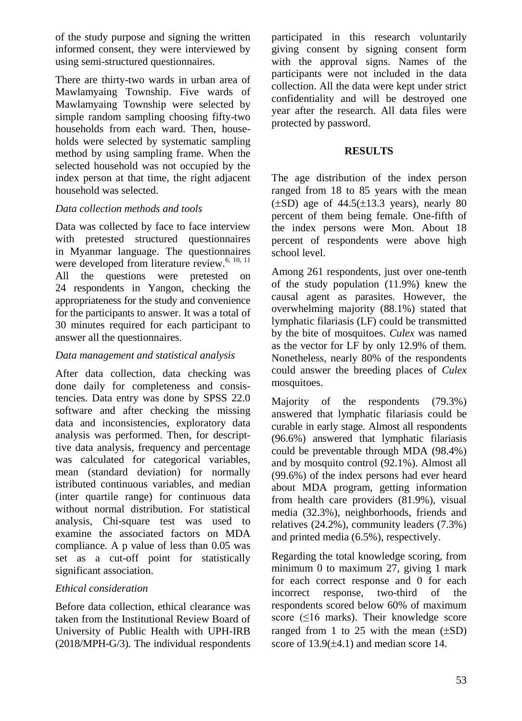of the study purpose and signing the written informed consent, they were interviewed by using semi-structured questionnaires.

There are thirty-two wards in urban area of Mawlamyaing Township. Five wards of Mawlamyaing Township were selected by simple random sampling choosing fifty-two households from each ward. Then, households were selected by systematic sampling method by using sampling frame. When the selected household was not occupied by the index person at that time, the right adjacent household was selected.

## *Data collection methods and tools*

Data was collected by face to face interview with pretested structured questionnaires in Myanmar language. The questionnaires were developed from literature review.<sup>6, 10, 11</sup> All the questions were pretested on 24 respondents in Yangon, checking the appropriateness for the study and convenience for the participants to answer. It was a total of 30 minutes required for each participant to answer all the questionnaires.

### *Data management and statistical analysis*

After data collection, data checking was done daily for completeness and consistencies. Data entry was done by SPSS 22.0 software and after checking the missing data and inconsistencies, exploratory data analysis was performed. Then, for descripttive data analysis, frequency and percentage was calculated for categorical variables, mean (standard deviation) for normally istributed continuous variables, and median (inter quartile range) for continuous data without normal distribution. For statistical analysis, Chi-square test was used to examine the associated factors on MDA compliance. A p value of less than 0.05 was set as a cut-off point for statistically significant association.

### *Ethical consideration*

Before data collection, ethical clearance was taken from the Institutional Review Board of University of Public Health with UPH-IRB (2018/MPH-G/3). The individual respondents participated in this research voluntarily giving consent by signing consent form with the approval signs. Names of the participants were not included in the data collection. All the data were kept under strict confidentiality and will be destroyed one year after the research. All data files were protected by password.

#### **RESULTS**

The age distribution of the index person ranged from 18 to 85 years with the mean  $(\pm SD)$  age of 44.5( $\pm$ 13.3 years), nearly 80 percent of them being female. One-fifth of the index persons were Mon. About 18 percent of respondents were above high school level.

Among 261 respondents, just over one-tenth of the study population (11.9%) knew the causal agent as parasites. However, the overwhelming majority (88.1%) stated that lymphatic filariasis (LF) could be transmitted by the bite of mosquitoes. *Culex* was named as the vector for LF by only 12.9% of them. Nonetheless, nearly 80% of the respondents could answer the breeding places of *Culex* mosquitoes.

Majority of the respondents (79.3%) answered that lymphatic filariasis could be curable in early stage. Almost all respondents (96.6%) answered that lymphatic filariasis could be preventable through MDA (98.4%) and by mosquito control (92.1%). Almost all (99.6%) of the index persons had ever heard about MDA program, getting information from health care providers (81.9%), visual media (32.3%), neighborhoods, friends and relatives (24.2%), community leaders (7.3%) and printed media (6.5%), respectively.

Regarding the total knowledge scoring, from minimum 0 to maximum 27, giving 1 mark for each correct response and 0 for each incorrect response, two-third of the respondents scored below 60% of maximum score ( $\leq 16$  marks). Their knowledge score ranged from 1 to 25 with the mean  $(\pm SD)$ score of  $13.9(\pm 4.1)$  and median score 14.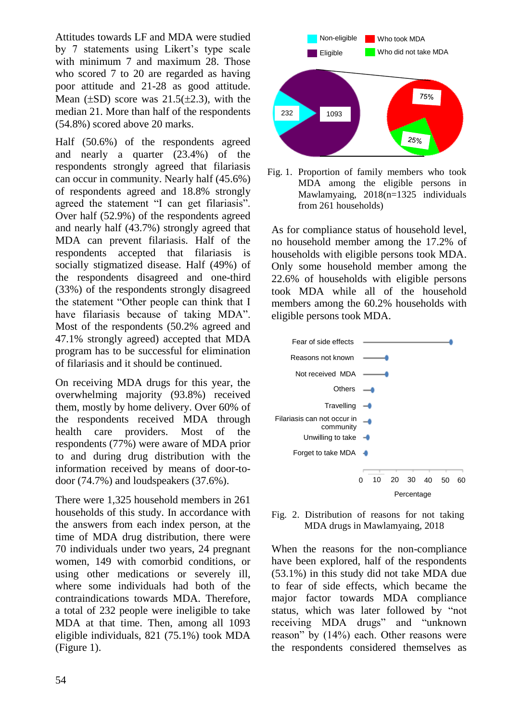Attitudes towards LF and MDA were studied by 7 statements using Likert's type scale with minimum 7 and maximum 28. Those who scored 7 to 20 are regarded as having poor attitude and 21-28 as good attitude. Mean  $(\pm SD)$  score was  $21.5(\pm 2.3)$ , with the median 21. More than half of the respondents (54.8%) scored above 20 marks.

Half (50.6%) of the respondents agreed and nearly a quarter (23.4%) of the respondents strongly agreed that filariasis can occur in community. Nearly half (45.6%) of respondents agreed and 18.8% strongly agreed the statement "I can get filariasis". Over half (52.9%) of the respondents agreed and nearly half (43.7%) strongly agreed that MDA can prevent filariasis. Half of the respondents accepted that filariasis is socially stigmatized disease. Half (49%) of the respondents disagreed and one-third (33%) of the respondents strongly disagreed the statement "Other people can think that I have filariasis because of taking MDA". Most of the respondents (50.2% agreed and 47.1% strongly agreed) accepted that MDA program has to be successful for elimination of filariasis and it should be continued.

On receiving MDA drugs for this year, the overwhelming majority (93.8%) received them, mostly by home delivery. Over 60% of the respondents received MDA through health care providers. Most of the respondents (77%) were aware of MDA prior to and during drug distribution with the information received by means of door-todoor (74.7%) and loudspeakers (37.6%).

There were 1,325 household members in 261 households of this study. In accordance with the answers from each index person, at the time of MDA drug distribution, there were 70 individuals under two years, 24 pregnant women, 149 with comorbid conditions, or using other medications or severely ill, where some individuals had both of the contraindications towards MDA. Therefore, a total of 232 people were ineligible to take MDA at that time. Then, among all 1093 eligible individuals, 821 (75.1%) took MDA (Figure 1).



Fig. 1. Proportion of family members who took MDA among the eligible persons in Mawlamyaing, 2018(n=1325 individuals from 261 households)

As for compliance status of household level, no household member among the 17.2% of households with eligible persons took MDA. Only some household member among the 22.6% of households with eligible persons took MDA while all of the household members among the 60.2% households with eligible persons took MDA.



Fig. 2. Distribution of reasons for not taking MDA drugs in Mawlamyaing, 2018

When the reasons for the non-compliance have been explored, half of the respondents (53.1%) in this study did not take MDA due to fear of side effects, which became the major factor towards MDA compliance status, which was later followed by "not receiving MDA drugs" and "unknown reason" by (14%) each. Other reasons were the respondents considered themselves as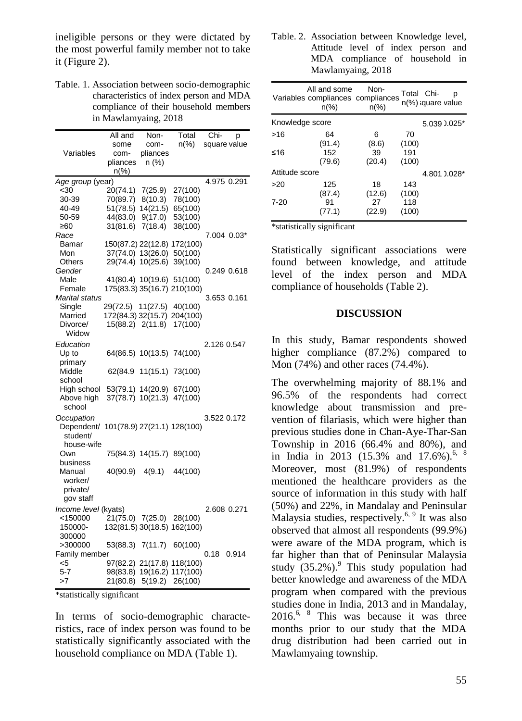ineligible persons or they were dictated by the most powerful family member not to take it (Figure 2).

Table. 1. Association between socio-demographic characteristics of index person and MDA compliance of their household members in Mawlamyaing, 2018

| Variables                              | All and<br>some<br>com-<br>pliances<br>$n\frac{9}{6}$ | Non-<br>com-<br>pliances<br>n (%) | Total<br>$n\%$             | Chi-<br>р<br>square value |  |  |  |
|----------------------------------------|-------------------------------------------------------|-----------------------------------|----------------------------|---------------------------|--|--|--|
| 4.975 0.291<br>Age group (year)        |                                                       |                                   |                            |                           |  |  |  |
| $30$                                   | 20(74.1)                                              | 7(25.9)                           | 27(100)                    |                           |  |  |  |
| 30-39                                  | 70(89.7)                                              | 8(10.3)                           | 78(100)                    |                           |  |  |  |
| 40-49                                  | 51(78.5) 14(21.5)                                     |                                   | 65(100)                    |                           |  |  |  |
| 50-59                                  | 44(83.0)                                              | 9(17.0)                           | 53(100)                    |                           |  |  |  |
| ≥60                                    | 31(81.6)                                              | 7(18.4)                           | 38(100)                    |                           |  |  |  |
| Race                                   |                                                       |                                   |                            | 7.004 0.03*               |  |  |  |
| Bamar                                  | 150(87.2) 22(12.8) 172(100)                           |                                   |                            |                           |  |  |  |
| Mon                                    | 37(74.0) 13(26.0) 50(100)                             |                                   |                            |                           |  |  |  |
| Others                                 | 29(74.4) 10(25.6)                                     |                                   | 39(100)                    |                           |  |  |  |
| Gender                                 |                                                       |                                   |                            | 0.249 0.618               |  |  |  |
| Male                                   | 41(80.4) 10(19.6) 51(100)                             |                                   |                            |                           |  |  |  |
| Female                                 | 175(83.3) 35(16.7) 210(100)                           |                                   |                            |                           |  |  |  |
| Marital status                         |                                                       |                                   |                            | 3.653 0.161               |  |  |  |
| Single                                 | 29(72.5)                                              | 11(27.5)                          | 40(100)                    |                           |  |  |  |
| Married                                | 172(84.3) 32(15.7) 204(100)                           |                                   |                            |                           |  |  |  |
| Divorce/                               | 15(88.2) 2(11.8)                                      |                                   | 17(100)                    |                           |  |  |  |
| Widow                                  |                                                       |                                   |                            |                           |  |  |  |
| Education                              |                                                       |                                   |                            | 2.126 0.547               |  |  |  |
| Up to                                  | 64(86.5) 10(13.5) 74(100)                             |                                   |                            |                           |  |  |  |
| primary<br>Middle                      |                                                       | 62(84.9 11(15.1) 73(100)          |                            |                           |  |  |  |
| school                                 |                                                       |                                   |                            |                           |  |  |  |
| High school                            |                                                       | 53(79.1) 14(20.9) 67(100)         |                            |                           |  |  |  |
| Above high                             |                                                       | 37(78.7) 10(21.3)                 | 47(100)                    |                           |  |  |  |
| school                                 |                                                       |                                   |                            |                           |  |  |  |
| Occupation                             |                                                       |                                   |                            | 3.522 0.172               |  |  |  |
| Dependent/ 101(78.9) 27(21.1) 128(100) |                                                       |                                   |                            |                           |  |  |  |
| student/                               |                                                       |                                   |                            |                           |  |  |  |
| house-wife                             |                                                       |                                   |                            |                           |  |  |  |
| Own                                    |                                                       | 75(84.3) 14(15.7) 89(100)         |                            |                           |  |  |  |
| business                               |                                                       |                                   |                            |                           |  |  |  |
| Manual                                 | 40(90.9)                                              | 4(9.1)                            | 44(100)                    |                           |  |  |  |
| worker/                                |                                                       |                                   |                            |                           |  |  |  |
| private/                               |                                                       |                                   |                            |                           |  |  |  |
| gov staff                              |                                                       |                                   |                            |                           |  |  |  |
| Income level (kyats)                   |                                                       |                                   |                            | 2.608 0.271               |  |  |  |
| <150000                                |                                                       | 21(75.0) 7(25.0)                  | 28(100)                    |                           |  |  |  |
| 150000-                                | 132(81.5) 30(18.5) 162(100)                           |                                   |                            |                           |  |  |  |
| 300000                                 |                                                       |                                   |                            |                           |  |  |  |
| >300000                                | 53(88.3)                                              | 7(11.7)                           | 60(100)                    |                           |  |  |  |
| Family member                          | 0.18<br>0.914                                         |                                   |                            |                           |  |  |  |
| $<$ 5                                  |                                                       |                                   | 97(82.2) 21(17.8) 118(100) |                           |  |  |  |
| 5-7                                    |                                                       |                                   | 98(83.8) 19(16.2) 117(100) |                           |  |  |  |
| >7                                     | 21(80.8)                                              | 5(19.2)                           | 26(100)                    |                           |  |  |  |

\*statistically significant

In terms of socio-demographic characteristics, race of index person was found to be statistically significantly associated with the household compliance on MDA (Table 1).

Table. 2. Association between Knowledge level, Attitude level of index person and MDA compliance of household in Mawlamyaing, 2018

|                 | All and some<br>Variables compliances compliances<br>$n\frac{9}{6}$ | Non-<br>$n\frac{9}{6}$ | Total Chi-   | n(%) square value | р              |
|-----------------|---------------------------------------------------------------------|------------------------|--------------|-------------------|----------------|
| Knowledge score |                                                                     |                        |              |                   | 5.039 $0.025*$ |
| >16             | 64<br>(91.4)                                                        | 6<br>(8.6)             | 70<br>(100)  |                   |                |
| ≤16             | 152<br>(79.6)                                                       | 39<br>(20.4)           | 191<br>(100) |                   |                |
| Attitude score  |                                                                     |                        |              |                   | 4.801 0.028*   |
| >20             | 125<br>(87.4)                                                       | 18<br>(12.6)           | 143<br>(100) |                   |                |
| $7 - 20$        | 91<br>(77.1)                                                        | 27<br>(22.9)           | 118<br>(100) |                   |                |

\*statistically significant

Statistically significant associations were found between knowledge, and attitude level of the index person and MDA compliance of households (Table 2).

#### **DISCUSSION**

In this study, Bamar respondents showed higher compliance (87.2%) compared to Mon (74%) and other races (74.4%).

The overwhelming majority of 88.1% and 96.5% of the respondents had correct knowledge about transmission and prevention of filariasis, which were higher than previous studies done in Chan-Aye-Thar-San Township in 2016 (66.4% and 80%), and in India in 2013 (15.3% and 17.6%).<sup>6, 8</sup> Moreover, most (81.9%) of respondents mentioned the healthcare providers as the source of information in this study with half (50%) and 22%, in Mandalay and Peninsular Malaysia studies, respectively.<sup>6, 9</sup> It was also observed that almost all respondents (99.9%) were aware of the MDA program, which is far higher than that of Peninsular Malaysia study  $(35.2\%)$ .<sup>9</sup> This study population had better knowledge and awareness of the MDA program when compared with the previous studies done in India, 2013 and in Mandalay,  $2016^{6}$ , <sup>8</sup> This was because it was three months prior to our study that the MDA drug distribution had been carried out in Mawlamyaing township.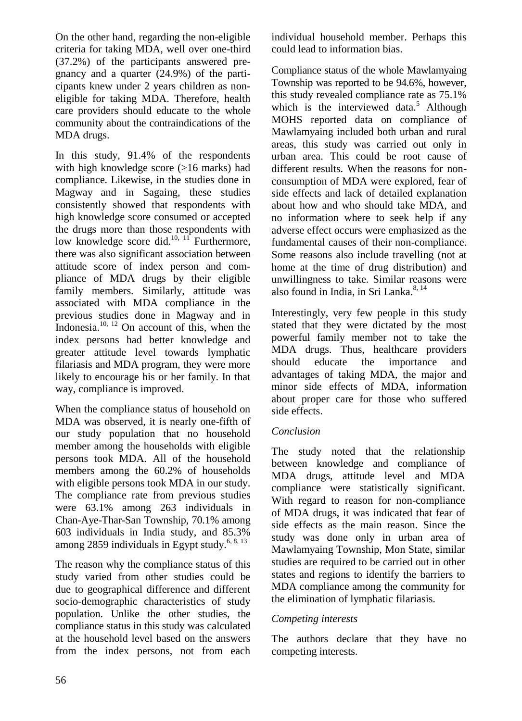On the other hand, regarding the non-eligible criteria for taking MDA, well over one-third (37.2%) of the participants answered pregnancy and a quarter (24.9%) of the participants knew under 2 years children as noneligible for taking MDA. Therefore, health care providers should educate to the whole community about the contraindications of the MDA drugs.

In this study, 91.4% of the respondents with high knowledge score (>16 marks) had compliance. Likewise, in the studies done in Magway and in Sagaing, these studies consistently showed that respondents with high knowledge score consumed or accepted the drugs more than those respondents with low knowledge score did. $^{10, 11}$  Furthermore, there was also significant association between attitude score of index person and compliance of MDA drugs by their eligible family members. Similarly, attitude was associated with MDA compliance in the previous studies done in Magway and in Indonesia. $10, 12$  On account of this, when the index persons had better knowledge and greater attitude level towards lymphatic filariasis and MDA program, they were more likely to encourage his or her family. In that way, compliance is improved.

When the compliance status of household on MDA was observed, it is nearly one-fifth of our study population that no household member among the households with eligible persons took MDA. All of the household members among the 60.2% of households with eligible persons took MDA in our study. The compliance rate from previous studies were 63.1% among 263 individuals in Chan-Aye-Thar-San Township, 70.1% among 603 individuals in India study, and 85.3% among 2859 individuals in Egypt study.<sup>6, 8, 13</sup>

The reason why the compliance status of this study varied from other studies could be due to geographical difference and different socio-demographic characteristics of study population. Unlike the other studies, the compliance status in this study was calculated at the household level based on the answers from the index persons, not from each

individual household member. Perhaps this could lead to information bias.

Compliance status of the whole Mawlamyaing Township was reported to be 94.6%, however, this study revealed compliance rate as 75.1% which is the interviewed data.<sup>5</sup> Although MOHS reported data on compliance of Mawlamyaing included both urban and rural areas, this study was carried out only in urban area. This could be root cause of different results. When the reasons for nonconsumption of MDA were explored, fear of side effects and lack of detailed explanation about how and who should take MDA, and no information where to seek help if any adverse effect occurs were emphasized as the fundamental causes of their non-compliance. Some reasons also include travelling (not at home at the time of drug distribution) and unwillingness to take. Similar reasons were also found in India, in Sri Lanka.<sup>8, 14</sup>

Interestingly, very few people in this study stated that they were dictated by the most powerful family member not to take the MDA drugs. Thus, healthcare providers should educate the importance and advantages of taking MDA, the major and minor side effects of MDA, information about proper care for those who suffered side effects.

## *Conclusion*

The study noted that the relationship between knowledge and compliance of MDA drugs, attitude level and MDA compliance were statistically significant. With regard to reason for non-compliance of MDA drugs, it was indicated that fear of side effects as the main reason. Since the study was done only in urban area of Mawlamyaing Township, Mon State, similar studies are required to be carried out in other states and regions to identify the barriers to MDA compliance among the community for the elimination of lymphatic filariasis.

## *Competing interests*

The authors declare that they have no competing interests.